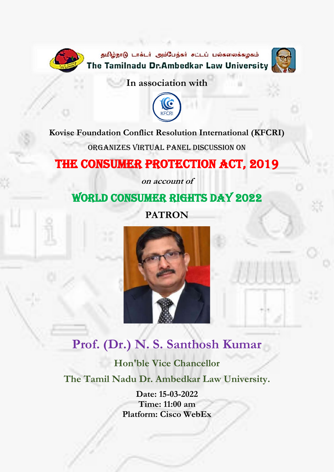



**In association with**



#### **Kovise Foundation Conflict Resolution International (KFCRI)**

Organizes Virtual Panel Discussion on

### THE CONSUMER PROTECTION ACT, 2019

**on account of**

### World Consumer Rights Day 2022

**PATRON**



## **Prof. (Dr.) N. S. Santhosh Kumar**

**Hon'ble Vice Chancellor The Tamil Nadu Dr. Ambedkar Law University.**

> **Date: 15-03-2022 Time: 11:00 am Platform: Cisco WebEx**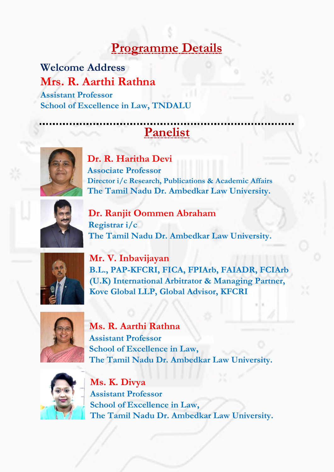## **Programme Details**

**Welcome Address Mrs. R. Aarthi Rathna Assistant Professor School of Excellence in Law, TNDALU**

# **Panelist**



**Dr. R. Haritha Devi Associate Professor Director i/c Research, Publications & Academic Affairs The Tamil Nadu Dr. Ambedkar Law University.**



**Dr. Ranjit Oommen Abraham Registrar i/c The Tamil Nadu Dr. Ambedkar Law University.**



**Mr. V. Inbavijayan B.L., PAP-KFCRI, FICA, FPIArb, FAIADR, FCIArb (U.K) International Arbitrator & Managing Partner, Kove Global LLP, Global Advisor, KFCRI**



**Ms. R. Aarthi Rathna Assistant Professor School of Excellence in Law, The Tamil Nadu Dr. Ambedkar Law University.**



**Ms. K. Divya Assistant Professor School of Excellence in Law, The Tamil Nadu Dr. Ambedkar Law University.**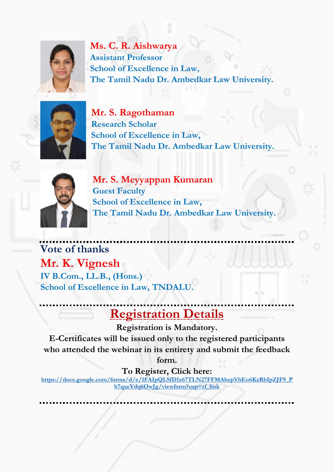

**Ms. C. R. Aishwarya Assistant Professor School of Excellence in Law, The Tamil Nadu Dr. Ambedkar Law University.**



**Mr. S. Ragothaman Research Scholar School of Excellence in Law, The Tamil Nadu Dr. Ambedkar Law University.**



**Mr. S. Meyyappan Kumaran Guest Faculty School of Excellence in Law, The Tamil Nadu Dr. Ambedkar Law University.**

**Vote of thanks Mr. K. Vignesh IV B.Com., LL.B., (Hons.) School of Excellence in Law, TNDALU.**

# **Registration Details**

**Registration is Mandatory.**

**E-Certificates will be issued only to the registered participants who attended the webinar in its entirety and submit the feedback** 

**form.**

**To Register, Click here:** 

**[https://docs.google.com/forms/d/e/1FAIpQLSfD1z67TLN27FFMAbzpYhEo6KzRbIpZJF9\\_P](https://docs.google.com/forms/d/e/1FAIpQLSfD1z67TLN27FFMAbzpYhEo6KzRbIpZJF9_Pb7qxeYdq6OwJg/viewform?usp=sf_link) [b7qxeYdq6OwJg/viewform?usp=sf\\_link](https://docs.google.com/forms/d/e/1FAIpQLSfD1z67TLN27FFMAbzpYhEo6KzRbIpZJF9_Pb7qxeYdq6OwJg/viewform?usp=sf_link)**